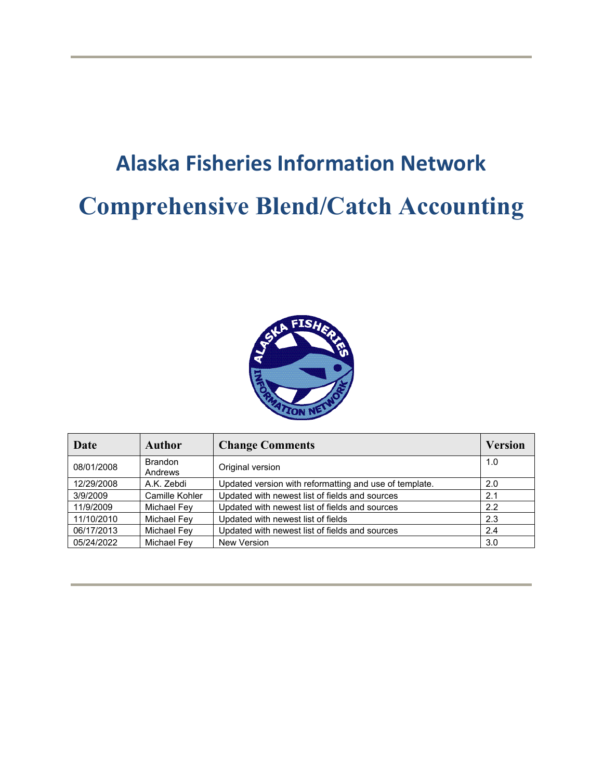# **Alaska Fisheries Information Network Comprehensive Blend/Catch Accounting**



| Date       | Author                    | <b>Change Comments</b>                                 | <b>Version</b> |
|------------|---------------------------|--------------------------------------------------------|----------------|
| 08/01/2008 | <b>Brandon</b><br>Andrews | Original version                                       | 1.0            |
| 12/29/2008 | A.K. Zebdi                | Updated version with reformatting and use of template. | 2.0            |
| 3/9/2009   | Camille Kohler            | Updated with newest list of fields and sources         | 2.1            |
| 11/9/2009  | Michael Fey               | Updated with newest list of fields and sources         | 2.2            |
| 11/10/2010 | Michael Fey               | Updated with newest list of fields                     | 2.3            |
| 06/17/2013 | <b>Michael Fev</b>        | Updated with newest list of fields and sources         | 2.4            |
| 05/24/2022 | <b>Michael Fev</b>        | <b>New Version</b>                                     | 3.0            |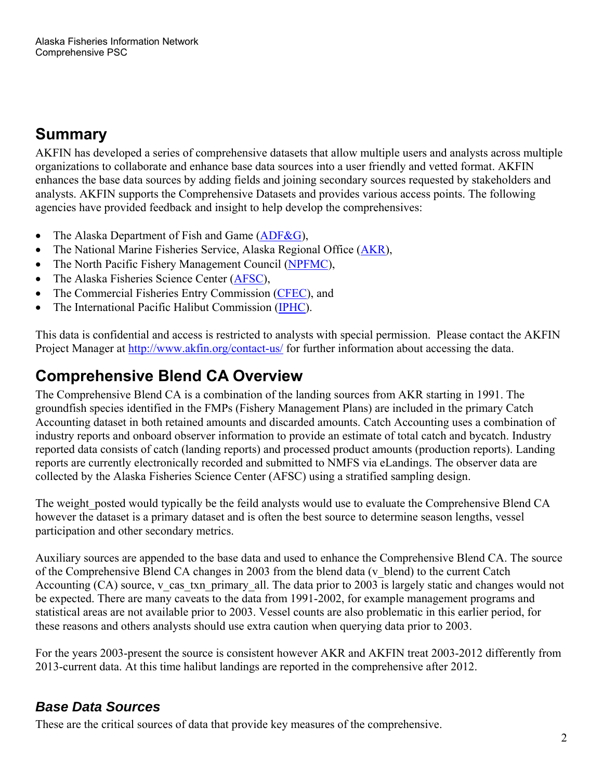# **Summary**

AKFIN has developed a series of comprehensive datasets that allow multiple users and analysts across multiple organizations to collaborate and enhance base data sources into a user friendly and vetted format. AKFIN enhances the base data sources by adding fields and joining secondary sources requested by stakeholders and analysts. AKFIN supports the Comprehensive Datasets and provides various access points. The following agencies have provided feedback and insight to help develop the comprehensives:

- The Alaska Department of Fish and Game  $(ADF&G)$ ,
- The National Marine Fisheries Service, Alaska Regional Office (AKR),
- The North Pacific Fishery Management Council (NPFMC),
- The Alaska Fisheries Science Center (AFSC),
- The Commercial Fisheries Entry Commission (CFEC), and
- The International Pacific Halibut Commission (IPHC).

This data is confidential and access is restricted to analysts with special permission. Please contact the AKFIN Project Manager at http://www.akfin.org/contact-us/ for further information about accessing the data.

## **Comprehensive Blend CA Overview**

The Comprehensive Blend CA is a combination of the landing sources from AKR starting in 1991. The groundfish species identified in the FMPs (Fishery Management Plans) are included in the primary Catch Accounting dataset in both retained amounts and discarded amounts. Catch Accounting uses a combination of industry reports and onboard observer information to provide an estimate of total catch and bycatch. Industry reported data consists of catch (landing reports) and processed product amounts (production reports). Landing reports are currently electronically recorded and submitted to NMFS via eLandings. The observer data are collected by the Alaska Fisheries Science Center (AFSC) using a stratified sampling design.

The weight posted would typically be the feild analysts would use to evaluate the Comprehensive Blend CA however the dataset is a primary dataset and is often the best source to determine season lengths, vessel participation and other secondary metrics.

Auxiliary sources are appended to the base data and used to enhance the Comprehensive Blend CA. The source of the Comprehensive Blend CA changes in 2003 from the blend data (v\_blend) to the current Catch Accounting (CA) source, v\_cas\_txn\_primary\_all. The data prior to 2003 is largely static and changes would not be expected. There are many caveats to the data from 1991-2002, for example management programs and statistical areas are not available prior to 2003. Vessel counts are also problematic in this earlier period, for these reasons and others analysts should use extra caution when querying data prior to 2003.

For the years 2003-present the source is consistent however AKR and AKFIN treat 2003-2012 differently from 2013-current data. At this time halibut landings are reported in the comprehensive after 2012.

## *Base Data Sources*

These are the critical sources of data that provide key measures of the comprehensive.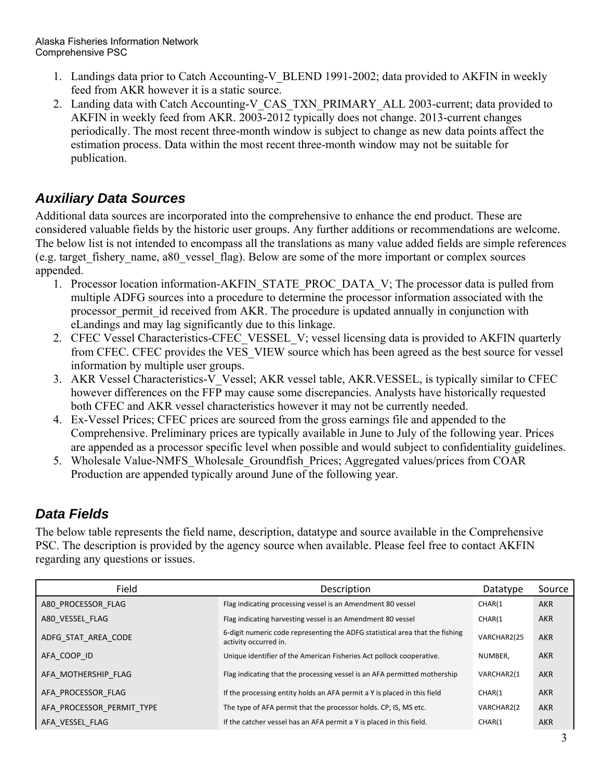- 1. Landings data prior to Catch Accounting-V\_BLEND 1991-2002; data provided to AKFIN in weekly feed from AKR however it is a static source.
- 2. Landing data with Catch Accounting-V\_CAS\_TXN\_PRIMARY\_ALL 2003-current; data provided to AKFIN in weekly feed from AKR. 2003-2012 typically does not change. 2013-current changes periodically. The most recent three-month window is subject to change as new data points affect the estimation process. Data within the most recent three-month window may not be suitable for publication.

## *Auxiliary Data Sources*

Additional data sources are incorporated into the comprehensive to enhance the end product. These are considered valuable fields by the historic user groups. Any further additions or recommendations are welcome. The below list is not intended to encompass all the translations as many value added fields are simple references (e.g. target\_fishery\_name, a80\_vessel\_flag). Below are some of the more important or complex sources appended.

- 1. Processor location information-AKFIN\_STATE\_PROC\_DATA\_V; The processor data is pulled from multiple ADFG sources into a procedure to determine the processor information associated with the processor permit id received from AKR. The procedure is updated annually in conjunction with eLandings and may lag significantly due to this linkage.
- 2. CFEC Vessel Characteristics-CFEC VESSEL V; vessel licensing data is provided to AKFIN quarterly from CFEC. CFEC provides the VES\_VIEW source which has been agreed as the best source for vessel information by multiple user groups.
- 3. AKR Vessel Characteristics-V\_Vessel; AKR vessel table, AKR.VESSEL, is typically similar to CFEC however differences on the FFP may cause some discrepancies. Analysts have historically requested both CFEC and AKR vessel characteristics however it may not be currently needed.
- 4. Ex-Vessel Prices; CFEC prices are sourced from the gross earnings file and appended to the Comprehensive. Preliminary prices are typically available in June to July of the following year. Prices are appended as a processor specific level when possible and would subject to confidentiality guidelines.
- 5. Wholesale Value-NMFS\_Wholesale\_Groundfish\_Prices; Aggregated values/prices from COAR Production are appended typically around June of the following year.

## *Data Fields*

The below table represents the field name, description, datatype and source available in the Comprehensive PSC. The description is provided by the agency source when available. Please feel free to contact AKFIN regarding any questions or issues.

| Field                     | Description                                                                                           | Datatype    | Source     |
|---------------------------|-------------------------------------------------------------------------------------------------------|-------------|------------|
| A80 PROCESSOR FLAG        | Flag indicating processing vessel is an Amendment 80 vessel                                           | CHAR(1      | <b>AKR</b> |
| A80 VESSEL FLAG           | Flag indicating harvesting vessel is an Amendment 80 vessel                                           | CHAR(1      | <b>AKR</b> |
| ADFG STAT AREA CODE       | 6-digit numeric code representing the ADFG statistical area that the fishing<br>activity occurred in. | VARCHAR2(25 | <b>AKR</b> |
| AFA COOP ID               | Unique identifier of the American Fisheries Act pollock cooperative.                                  | NUMBER.     | <b>AKR</b> |
| AFA MOTHERSHIP FLAG       | Flag indicating that the processing vessel is an AFA permitted mothership                             | VARCHAR2(1  | <b>AKR</b> |
| AFA PROCESSOR FLAG        | If the processing entity holds an AFA permit a Y is placed in this field                              | CHAR(1      | <b>AKR</b> |
| AFA PROCESSOR_PERMIT_TYPE | The type of AFA permit that the processor holds. CP, IS, MS etc.                                      | VARCHAR2(2  | <b>AKR</b> |
| AFA VESSEL FLAG           | If the catcher vessel has an AFA permit a Y is placed in this field.                                  | CHAR(1      | <b>AKR</b> |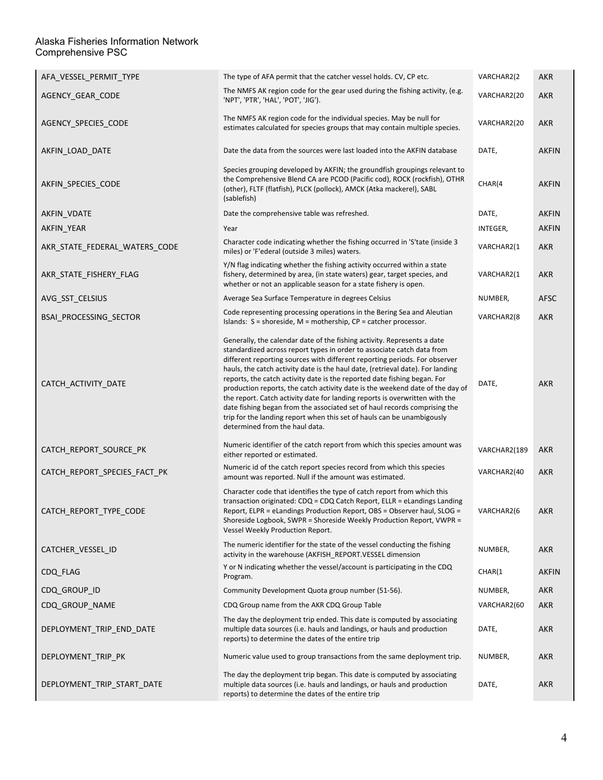| AFA_VESSEL_PERMIT_TYPE        | The type of AFA permit that the catcher vessel holds. CV, CP etc.                                                                                                                                                                                                                                                                                                                                                                                                                                                                                                                                                                                                                                                                                      | VARCHAR2(2   | AKR          |
|-------------------------------|--------------------------------------------------------------------------------------------------------------------------------------------------------------------------------------------------------------------------------------------------------------------------------------------------------------------------------------------------------------------------------------------------------------------------------------------------------------------------------------------------------------------------------------------------------------------------------------------------------------------------------------------------------------------------------------------------------------------------------------------------------|--------------|--------------|
| AGENCY_GEAR_CODE              | The NMFS AK region code for the gear used during the fishing activity, (e.g.<br>'NPT', 'PTR', 'HAL', 'POT', 'JIG').                                                                                                                                                                                                                                                                                                                                                                                                                                                                                                                                                                                                                                    | VARCHAR2(20  | <b>AKR</b>   |
| AGENCY SPECIES CODE           | The NMFS AK region code for the individual species. May be null for<br>estimates calculated for species groups that may contain multiple species.                                                                                                                                                                                                                                                                                                                                                                                                                                                                                                                                                                                                      | VARCHAR2(20  | <b>AKR</b>   |
| AKFIN LOAD DATE               | Date the data from the sources were last loaded into the AKFIN database                                                                                                                                                                                                                                                                                                                                                                                                                                                                                                                                                                                                                                                                                | DATE,        | <b>AKFIN</b> |
| AKFIN SPECIES CODE            | Species grouping developed by AKFIN; the groundfish groupings relevant to<br>the Comprehensive Blend CA are PCOD (Pacific cod), ROCK (rockfish), OTHR<br>(other), FLTF (flatfish), PLCK (pollock), AMCK (Atka mackerel), SABL<br>(sablefish)                                                                                                                                                                                                                                                                                                                                                                                                                                                                                                           | CHAR(4       | <b>AKFIN</b> |
| AKFIN VDATE                   | Date the comprehensive table was refreshed.                                                                                                                                                                                                                                                                                                                                                                                                                                                                                                                                                                                                                                                                                                            | DATE,        | <b>AKFIN</b> |
| AKFIN YEAR                    | Year                                                                                                                                                                                                                                                                                                                                                                                                                                                                                                                                                                                                                                                                                                                                                   | INTEGER,     | <b>AKFIN</b> |
| AKR_STATE_FEDERAL_WATERS_CODE | Character code indicating whether the fishing occurred in 'S'tate (inside 3<br>miles) or 'F'ederal (outside 3 miles) waters.                                                                                                                                                                                                                                                                                                                                                                                                                                                                                                                                                                                                                           | VARCHAR2(1   | <b>AKR</b>   |
| AKR_STATE_FISHERY_FLAG        | Y/N flag indicating whether the fishing activity occurred within a state<br>fishery, determined by area, (in state waters) gear, target species, and<br>whether or not an applicable season for a state fishery is open.                                                                                                                                                                                                                                                                                                                                                                                                                                                                                                                               | VARCHAR2(1   | <b>AKR</b>   |
| AVG_SST_CELSIUS               | Average Sea Surface Temperature in degrees Celsius                                                                                                                                                                                                                                                                                                                                                                                                                                                                                                                                                                                                                                                                                                     | NUMBER,      | <b>AFSC</b>  |
| BSAI_PROCESSING_SECTOR        | Code representing processing operations in the Bering Sea and Aleutian<br>Islands: $S =$ shoreside, $M =$ mothership, $CP =$ catcher processor.                                                                                                                                                                                                                                                                                                                                                                                                                                                                                                                                                                                                        | VARCHAR2(8   | <b>AKR</b>   |
| CATCH ACTIVITY DATE           | Generally, the calendar date of the fishing activity. Represents a date<br>standardized across report types in order to associate catch data from<br>different reporting sources with different reporting periods. For observer<br>hauls, the catch activity date is the haul date, (retrieval date). For landing<br>reports, the catch activity date is the reported date fishing began. For<br>production reports, the catch activity date is the weekend date of the day of<br>the report. Catch activity date for landing reports is overwritten with the<br>date fishing began from the associated set of haul records comprising the<br>trip for the landing report when this set of hauls can be unambigously<br>determined from the haul data. | DATE,        | <b>AKR</b>   |
| CATCH_REPORT_SOURCE_PK        | Numeric identifier of the catch report from which this species amount was<br>either reported or estimated.                                                                                                                                                                                                                                                                                                                                                                                                                                                                                                                                                                                                                                             | VARCHAR2(189 | AKR          |
| CATCH_REPORT_SPECIES_FACT_PK  | Numeric id of the catch report species record from which this species<br>amount was reported. Null if the amount was estimated.                                                                                                                                                                                                                                                                                                                                                                                                                                                                                                                                                                                                                        | VARCHAR2(40  | AKR          |
| CATCH_REPORT_TYPE_CODE        | Character code that identifies the type of catch report from which this<br>transaction originated: CDQ = CDQ Catch Report, ELLR = eLandings Landing<br>Report, ELPR = eLandings Production Report, OBS = Observer haul, SLOG =<br>Shoreside Logbook, SWPR = Shoreside Weekly Production Report, VWPR =<br>Vessel Weekly Production Report.                                                                                                                                                                                                                                                                                                                                                                                                             | VARCHAR2(6   | <b>AKR</b>   |
| CATCHER_VESSEL_ID             | The numeric identifier for the state of the vessel conducting the fishing<br>activity in the warehouse (AKFISH_REPORT.VESSEL dimension                                                                                                                                                                                                                                                                                                                                                                                                                                                                                                                                                                                                                 | NUMBER,      | <b>AKR</b>   |
| CDQ_FLAG                      | Y or N indicating whether the vessel/account is participating in the CDQ<br>Program.                                                                                                                                                                                                                                                                                                                                                                                                                                                                                                                                                                                                                                                                   | CHAR(1       | <b>AKFIN</b> |
| CDQ_GROUP_ID                  | Community Development Quota group number (51-56).                                                                                                                                                                                                                                                                                                                                                                                                                                                                                                                                                                                                                                                                                                      | NUMBER,      | AKR          |
| CDQ_GROUP_NAME                | CDQ Group name from the AKR CDQ Group Table                                                                                                                                                                                                                                                                                                                                                                                                                                                                                                                                                                                                                                                                                                            | VARCHAR2(60  | AKR          |
| DEPLOYMENT_TRIP_END_DATE      | The day the deployment trip ended. This date is computed by associating<br>multiple data sources (i.e. hauls and landings, or hauls and production<br>reports) to determine the dates of the entire trip                                                                                                                                                                                                                                                                                                                                                                                                                                                                                                                                               | DATE,        | <b>AKR</b>   |
| DEPLOYMENT_TRIP_PK            | Numeric value used to group transactions from the same deployment trip.                                                                                                                                                                                                                                                                                                                                                                                                                                                                                                                                                                                                                                                                                | NUMBER,      | AKR          |
| DEPLOYMENT_TRIP_START_DATE    | The day the deployment trip began. This date is computed by associating<br>multiple data sources (i.e. hauls and landings, or hauls and production<br>reports) to determine the dates of the entire trip                                                                                                                                                                                                                                                                                                                                                                                                                                                                                                                                               | DATE,        | AKR          |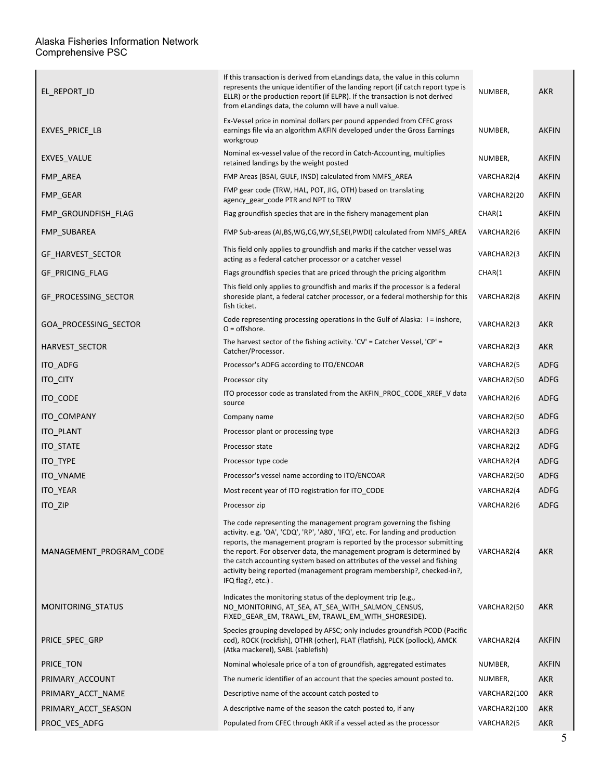| EL_REPORT_ID            | If this transaction is derived from eLandings data, the value in this column<br>represents the unique identifier of the landing report (if catch report type is<br>ELLR) or the production report (if ELPR). If the transaction is not derived<br>from eLandings data, the column will have a null value.                                                                                                                                                                                | NUMBER,      | <b>AKR</b>   |
|-------------------------|------------------------------------------------------------------------------------------------------------------------------------------------------------------------------------------------------------------------------------------------------------------------------------------------------------------------------------------------------------------------------------------------------------------------------------------------------------------------------------------|--------------|--------------|
| EXVES PRICE LB          | Ex-Vessel price in nominal dollars per pound appended from CFEC gross<br>earnings file via an algorithm AKFIN developed under the Gross Earnings<br>workgroup                                                                                                                                                                                                                                                                                                                            | NUMBER,      | <b>AKFIN</b> |
| <b>EXVES VALUE</b>      | Nominal ex-vessel value of the record in Catch-Accounting, multiplies<br>retained landings by the weight posted                                                                                                                                                                                                                                                                                                                                                                          | NUMBER,      | <b>AKFIN</b> |
| FMP AREA                | FMP Areas (BSAI, GULF, INSD) calculated from NMFS AREA                                                                                                                                                                                                                                                                                                                                                                                                                                   | VARCHAR2(4   | <b>AKFIN</b> |
| FMP GEAR                | FMP gear code (TRW, HAL, POT, JIG, OTH) based on translating<br>agency_gear_code PTR and NPT to TRW                                                                                                                                                                                                                                                                                                                                                                                      | VARCHAR2(20  | <b>AKFIN</b> |
| FMP GROUNDFISH FLAG     | Flag groundfish species that are in the fishery management plan                                                                                                                                                                                                                                                                                                                                                                                                                          | CHAR(1       | <b>AKFIN</b> |
| FMP SUBAREA             | FMP Sub-areas (AI,BS,WG,CG,WY,SE,SEI,PWDI) calculated from NMFS_AREA                                                                                                                                                                                                                                                                                                                                                                                                                     | VARCHAR2(6   | <b>AKFIN</b> |
| GF_HARVEST_SECTOR       | This field only applies to groundfish and marks if the catcher vessel was<br>acting as a federal catcher processor or a catcher vessel                                                                                                                                                                                                                                                                                                                                                   | VARCHAR2(3   | <b>AKFIN</b> |
| GF_PRICING_FLAG         | Flags groundfish species that are priced through the pricing algorithm                                                                                                                                                                                                                                                                                                                                                                                                                   | CHAR(1       | <b>AKFIN</b> |
| GF_PROCESSING_SECTOR    | This field only applies to groundfish and marks if the processor is a federal<br>shoreside plant, a federal catcher processor, or a federal mothership for this<br>fish ticket.                                                                                                                                                                                                                                                                                                          | VARCHAR2(8   | <b>AKFIN</b> |
| GOA_PROCESSING_SECTOR   | Code representing processing operations in the Gulf of Alaska: I = inshore,<br>$O =$ offshore.                                                                                                                                                                                                                                                                                                                                                                                           | VARCHAR2(3   | AKR          |
| HARVEST_SECTOR          | The harvest sector of the fishing activity. $CV' =$ Catcher Vessel, $'CP' =$<br>Catcher/Processor.                                                                                                                                                                                                                                                                                                                                                                                       | VARCHAR2(3   | <b>AKR</b>   |
| ITO_ADFG                | Processor's ADFG according to ITO/ENCOAR                                                                                                                                                                                                                                                                                                                                                                                                                                                 | VARCHAR2(5   | <b>ADFG</b>  |
| ITO_CITY                | Processor city                                                                                                                                                                                                                                                                                                                                                                                                                                                                           | VARCHAR2(50  | ADFG         |
| ITO_CODE                | ITO processor code as translated from the AKFIN_PROC_CODE_XREF_V data<br>source                                                                                                                                                                                                                                                                                                                                                                                                          | VARCHAR2(6   | <b>ADFG</b>  |
| ITO COMPANY             | Company name                                                                                                                                                                                                                                                                                                                                                                                                                                                                             | VARCHAR2(50  | ADFG         |
| ITO_PLANT               | Processor plant or processing type                                                                                                                                                                                                                                                                                                                                                                                                                                                       | VARCHAR2(3   | ADFG         |
| ITO_STATE               | Processor state                                                                                                                                                                                                                                                                                                                                                                                                                                                                          | VARCHAR2(2   | <b>ADFG</b>  |
| ITO_TYPE                | Processor type code                                                                                                                                                                                                                                                                                                                                                                                                                                                                      | VARCHAR2(4   | ADFG         |
| ITO_VNAME               | Processor's vessel name according to ITO/ENCOAR                                                                                                                                                                                                                                                                                                                                                                                                                                          | VARCHAR2(50  | ADFG         |
| ITO_YEAR                | Most recent year of ITO registration for ITO CODE                                                                                                                                                                                                                                                                                                                                                                                                                                        | VARCHAR2(4   | ADFG         |
| ITO_ZIP                 | Processor zip                                                                                                                                                                                                                                                                                                                                                                                                                                                                            | VARCHAR2(6   | ADFG         |
| MANAGEMENT PROGRAM CODE | The code representing the management program governing the fishing<br>activity. e.g. 'OA', 'CDQ', 'RP', 'A80', 'IFQ', etc. For landing and production<br>reports, the management program is reported by the processor submitting<br>the report. For observer data, the management program is determined by<br>the catch accounting system based on attributes of the vessel and fishing<br>activity being reported (management program membership?, checked-in?,<br>$IFQ flag?, etc.)$ . | VARCHAR2(4   | AKR          |
| MONITORING_STATUS       | Indicates the monitoring status of the deployment trip (e.g.,<br>NO MONITORING, AT SEA, AT SEA WITH SALMON CENSUS,<br>FIXED_GEAR_EM, TRAWL_EM, TRAWL_EM_WITH_SHORESIDE).                                                                                                                                                                                                                                                                                                                 | VARCHAR2(50  | <b>AKR</b>   |
| PRICE_SPEC_GRP          | Species grouping developed by AFSC; only includes groundfish PCOD (Pacific<br>cod), ROCK (rockfish), OTHR (other), FLAT (flatfish), PLCK (pollock), AMCK<br>(Atka mackerel), SABL (sablefish)                                                                                                                                                                                                                                                                                            | VARCHAR2(4   | <b>AKFIN</b> |
| PRICE_TON               | Nominal wholesale price of a ton of groundfish, aggregated estimates                                                                                                                                                                                                                                                                                                                                                                                                                     | NUMBER,      | <b>AKFIN</b> |
| PRIMARY ACCOUNT         | The numeric identifier of an account that the species amount posted to.                                                                                                                                                                                                                                                                                                                                                                                                                  | NUMBER,      | <b>AKR</b>   |
| PRIMARY ACCT NAME       | Descriptive name of the account catch posted to                                                                                                                                                                                                                                                                                                                                                                                                                                          | VARCHAR2(100 | AKR          |
| PRIMARY_ACCT_SEASON     | A descriptive name of the season the catch posted to, if any                                                                                                                                                                                                                                                                                                                                                                                                                             | VARCHAR2(100 | <b>AKR</b>   |
| PROC_VES_ADFG           | Populated from CFEC through AKR if a vessel acted as the processor                                                                                                                                                                                                                                                                                                                                                                                                                       | VARCHAR2(5   | AKR          |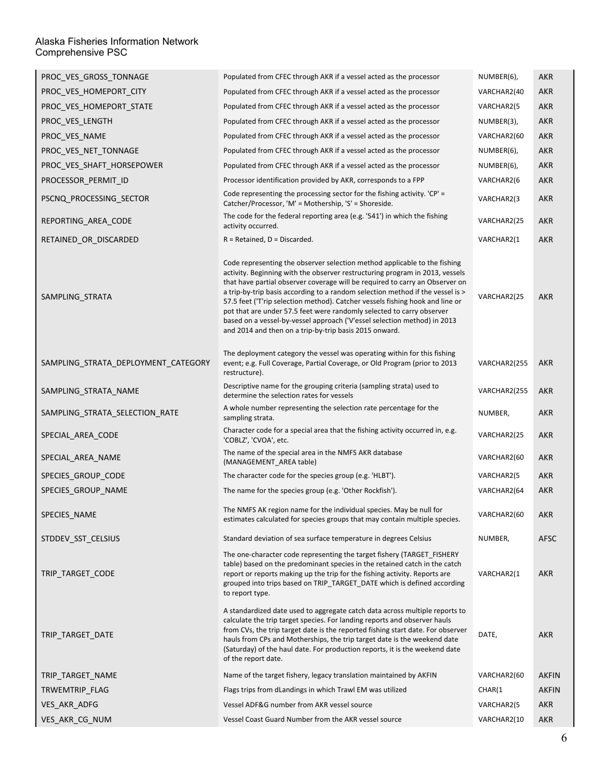| PROC_VES_GROSS_TONNAGE              | Populated from CFEC through AKR if a vessel acted as the processor                                                                                                                                                                                                                                                                                                                                                                                                                                                                                                                                                          | NUMBER(6),   | <b>AKR</b>   |
|-------------------------------------|-----------------------------------------------------------------------------------------------------------------------------------------------------------------------------------------------------------------------------------------------------------------------------------------------------------------------------------------------------------------------------------------------------------------------------------------------------------------------------------------------------------------------------------------------------------------------------------------------------------------------------|--------------|--------------|
| PROC_VES_HOMEPORT_CITY              | Populated from CFEC through AKR if a vessel acted as the processor                                                                                                                                                                                                                                                                                                                                                                                                                                                                                                                                                          | VARCHAR2(40  | <b>AKR</b>   |
| PROC_VES_HOMEPORT_STATE             | Populated from CFEC through AKR if a vessel acted as the processor                                                                                                                                                                                                                                                                                                                                                                                                                                                                                                                                                          | VARCHAR2(5   | <b>AKR</b>   |
| PROC_VES_LENGTH                     | Populated from CFEC through AKR if a vessel acted as the processor                                                                                                                                                                                                                                                                                                                                                                                                                                                                                                                                                          | NUMBER(3),   | <b>AKR</b>   |
| PROC_VES_NAME                       | Populated from CFEC through AKR if a vessel acted as the processor                                                                                                                                                                                                                                                                                                                                                                                                                                                                                                                                                          | VARCHAR2(60  | <b>AKR</b>   |
| PROC_VES_NET_TONNAGE                | Populated from CFEC through AKR if a vessel acted as the processor                                                                                                                                                                                                                                                                                                                                                                                                                                                                                                                                                          | NUMBER(6),   | <b>AKR</b>   |
| PROC_VES_SHAFT_HORSEPOWER           | Populated from CFEC through AKR if a vessel acted as the processor                                                                                                                                                                                                                                                                                                                                                                                                                                                                                                                                                          | NUMBER(6),   | <b>AKR</b>   |
| PROCESSOR_PERMIT_ID                 | Processor identification provided by AKR, corresponds to a FPP                                                                                                                                                                                                                                                                                                                                                                                                                                                                                                                                                              | VARCHAR2(6   | <b>AKR</b>   |
| PSCNQ_PROCESSING_SECTOR             | Code representing the processing sector for the fishing activity. $CP' =$<br>Catcher/Processor, 'M' = Mothership, 'S' = Shoreside.                                                                                                                                                                                                                                                                                                                                                                                                                                                                                          | VARCHAR2(3   | AKR          |
| REPORTING_AREA_CODE                 | The code for the federal reporting area (e.g. '541') in which the fishing<br>activity occurred.                                                                                                                                                                                                                                                                                                                                                                                                                                                                                                                             | VARCHAR2(25  | AKR          |
| RETAINED_OR_DISCARDED               | $R = Retained, D = Discarded.$                                                                                                                                                                                                                                                                                                                                                                                                                                                                                                                                                                                              | VARCHAR2(1   | <b>AKR</b>   |
| SAMPLING_STRATA                     | Code representing the observer selection method applicable to the fishing<br>activity. Beginning with the observer restructuring program in 2013, vessels<br>that have partial observer coverage will be required to carry an Observer on<br>a trip-by-trip basis according to a random selection method if the vessel is ><br>57.5 feet ('T'rip selection method). Catcher vessels fishing hook and line or<br>pot that are under 57.5 feet were randomly selected to carry observer<br>based on a vessel-by-vessel approach ('V'essel selection method) in 2013<br>and 2014 and then on a trip-by-trip basis 2015 onward. | VARCHAR2(25  | <b>AKR</b>   |
| SAMPLING_STRATA_DEPLOYMENT_CATEGORY | The deployment category the vessel was operating within for this fishing<br>event; e.g. Full Coverage, Partial Coverage, or Old Program (prior to 2013<br>restructure).                                                                                                                                                                                                                                                                                                                                                                                                                                                     | VARCHAR2(255 | AKR          |
| SAMPLING STRATA NAME                | Descriptive name for the grouping criteria (sampling strata) used to<br>determine the selection rates for vessels                                                                                                                                                                                                                                                                                                                                                                                                                                                                                                           | VARCHAR2(255 | AKR          |
| SAMPLING_STRATA_SELECTION_RATE      | A whole number representing the selection rate percentage for the<br>sampling strata.                                                                                                                                                                                                                                                                                                                                                                                                                                                                                                                                       | NUMBER,      | AKR          |
| SPECIAL_AREA_CODE                   | Character code for a special area that the fishing activity occurred in, e.g.<br>'COBLZ', 'CVOA', etc.                                                                                                                                                                                                                                                                                                                                                                                                                                                                                                                      | VARCHAR2(25  | AKR          |
| SPECIAL_AREA_NAME                   | The name of the special area in the NMFS AKR database<br>(MANAGEMENT_AREA table)                                                                                                                                                                                                                                                                                                                                                                                                                                                                                                                                            | VARCHAR2(60  | AKR          |
| SPECIES_GROUP_CODE                  | The character code for the species group (e.g. 'HLBT').                                                                                                                                                                                                                                                                                                                                                                                                                                                                                                                                                                     | VARCHAR2(5   | <b>AKR</b>   |
| SPECIES_GROUP_NAME                  | The name for the species group (e.g. 'Other Rockfish').                                                                                                                                                                                                                                                                                                                                                                                                                                                                                                                                                                     | VARCHAR2(64  | <b>AKR</b>   |
| SPECIES NAME                        | The NMFS AK region name for the individual species. May be null for<br>estimates calculated for species groups that may contain multiple species.                                                                                                                                                                                                                                                                                                                                                                                                                                                                           | VARCHAR2(60  | <b>AKR</b>   |
| STDDEV_SST_CELSIUS                  | Standard deviation of sea surface temperature in degrees Celsius                                                                                                                                                                                                                                                                                                                                                                                                                                                                                                                                                            | NUMBER,      | <b>AFSC</b>  |
| TRIP_TARGET_CODE                    | The one-character code representing the target fishery (TARGET_FISHERY<br>table) based on the predominant species in the retained catch in the catch<br>report or reports making up the trip for the fishing activity. Reports are<br>grouped into trips based on TRIP_TARGET_DATE which is defined according<br>to report type.                                                                                                                                                                                                                                                                                            | VARCHAR2(1   | <b>AKR</b>   |
| TRIP TARGET DATE                    | A standardized date used to aggregate catch data across multiple reports to<br>calculate the trip target species. For landing reports and observer hauls<br>from CVs, the trip target date is the reported fishing start date. For observer<br>hauls from CPs and Motherships, the trip target date is the weekend date<br>(Saturday) of the haul date. For production reports, it is the weekend date<br>of the report date.                                                                                                                                                                                               | DATE,        | <b>AKR</b>   |
| TRIP TARGET NAME                    | Name of the target fishery, legacy translation maintained by AKFIN                                                                                                                                                                                                                                                                                                                                                                                                                                                                                                                                                          | VARCHAR2(60  | <b>AKFIN</b> |
| TRWEMTRIP FLAG                      | Flags trips from dLandings in which Trawl EM was utilized                                                                                                                                                                                                                                                                                                                                                                                                                                                                                                                                                                   | CHAR(1       | <b>AKFIN</b> |
| VES AKR ADFG                        | Vessel ADF&G number from AKR vessel source                                                                                                                                                                                                                                                                                                                                                                                                                                                                                                                                                                                  | VARCHAR2(5   | AKR          |
| VES_AKR_CG_NUM                      | Vessel Coast Guard Number from the AKR vessel source                                                                                                                                                                                                                                                                                                                                                                                                                                                                                                                                                                        | VARCHAR2(10  | <b>AKR</b>   |